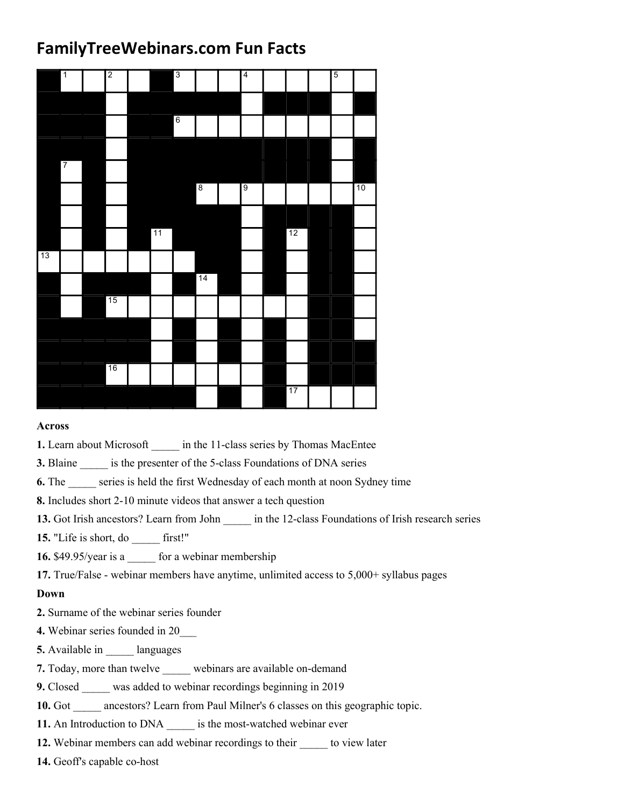## FamilyTreeWebinars.com Fun Facts

|    |                | <b>FamilyTreeWebinars.com Fun Facts</b> |                |    |                 |            |    |    |                |    |
|----|----------------|-----------------------------------------|----------------|----|-----------------|------------|----|----|----------------|----|
|    | $\mathbf{1}$   |                                         | $\overline{2}$ |    | $\overline{3}$  |            | 4  |    | $\overline{5}$ |    |
|    |                |                                         |                |    |                 |            |    |    |                |    |
|    |                |                                         |                |    | $6\overline{6}$ |            |    |    |                |    |
|    | $\overline{7}$ |                                         |                |    |                 |            |    |    |                |    |
|    |                |                                         |                |    |                 | $\sqrt{8}$ | б, |    |                | 10 |
|    |                |                                         |                |    |                 |            |    |    |                |    |
|    |                |                                         |                | 11 |                 |            |    | 12 |                |    |
| 13 |                |                                         |                |    |                 | 14         |    |    |                |    |
|    |                |                                         | 15             |    |                 |            |    |    |                |    |
|    |                |                                         |                |    |                 |            |    |    |                |    |
|    |                |                                         |                |    |                 |            |    |    |                |    |
|    |                |                                         | 16             |    |                 |            |    | 17 |                |    |
|    |                |                                         |                |    |                 |            |    |    |                |    |

## Across

1. Learn about Microsoft \_\_\_\_\_ in the 11-class series by Thomas MacEntee

3. Blaine \_\_\_\_\_\_ is the presenter of the 5-class Foundations of DNA series

6. The series is held the first Wednesday of each month at noon Sydney time

8. Includes short 2-10 minute videos that answer a tech question

13. Got Irish ancestors? Learn from John \_\_\_\_\_\_ in the 12-class Foundations of Irish research series

15. "Life is short, do first!"

16. \$49.95/year is a \_\_\_\_\_ for a webinar membership

17. True/False - webinar members have anytime, unlimited access to 5,000+ syllabus pages

## Down

- 2. Surname of the webinar series founder
- 4. Webinar series founded in 20\_\_\_
- 5. Available in \_\_\_\_\_\_ languages
- 7. Today, more than twelve webinars are available on-demand
- 9. Closed was added to webinar recordings beginning in 2019
- 10. Got \_\_\_\_\_ ancestors? Learn from Paul Milner's 6 classes on this geographic topic.
- 11. An Introduction to DNA is the most-watched webinar ever
- 12. Webinar members can add webinar recordings to their \_\_\_\_\_\_ to view later

14. Geoff's capable co-host